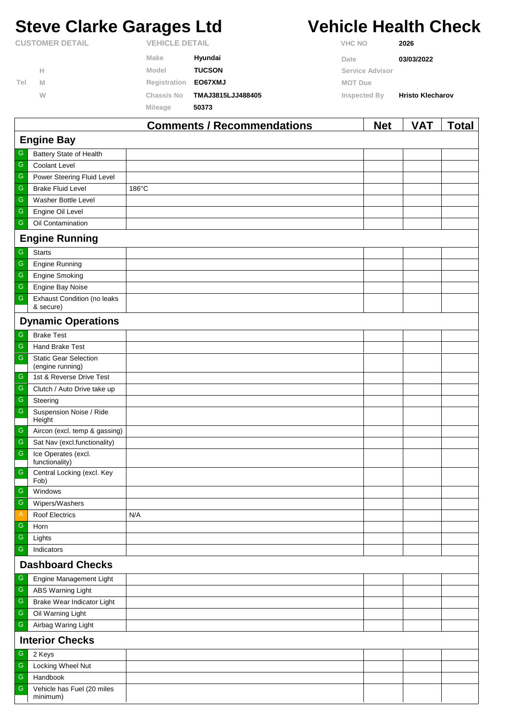# **Steve Clarke Garages Ltd Vehicle Health Check**

| <b>CUSTOMER DETAIL</b> |   | <b>VEHICLE DETAIL</b> |                   | <b>VHC NO</b>   | 2026                    |  |
|------------------------|---|-----------------------|-------------------|-----------------|-------------------------|--|
|                        |   | Make                  | Hyundai           | Date            | 03/03/2022              |  |
|                        | н | Model                 | <b>TUCSON</b>     | Service Advisor |                         |  |
| Tel                    | M | Registration          | <b>EO67XMJ</b>    | <b>MOT Due</b>  |                         |  |
|                        | W | <b>Chassis No</b>     | TMAJ3815LJJ488405 | Inspected By    | <b>Hristo Klecharov</b> |  |
|                        |   | Mileage               | 50373             |                 |                         |  |
|                        |   |                       |                   |                 |                         |  |

|                         |                                                  | <b>Comments / Recommendations</b> | <b>Net</b> | <b>VAT</b> | <b>Total</b> |  |  |
|-------------------------|--------------------------------------------------|-----------------------------------|------------|------------|--------------|--|--|
|                         | <b>Engine Bay</b>                                |                                   |            |            |              |  |  |
| G                       | Battery State of Health                          |                                   |            |            |              |  |  |
| ${\mathsf G}$           | Coolant Level                                    |                                   |            |            |              |  |  |
| ${\mathsf G}$           | Power Steering Fluid Level                       |                                   |            |            |              |  |  |
| ${\mathsf G}$           | <b>Brake Fluid Level</b>                         | 186°C                             |            |            |              |  |  |
| $\overline{\mathbb{G}}$ | Washer Bottle Level                              |                                   |            |            |              |  |  |
| ${\mathsf G}$           | Engine Oil Level                                 |                                   |            |            |              |  |  |
| ${\mathsf G}$           | Oil Contamination                                |                                   |            |            |              |  |  |
|                         | <b>Engine Running</b>                            |                                   |            |            |              |  |  |
| G                       | <b>Starts</b>                                    |                                   |            |            |              |  |  |
| ${\mathsf G}$           | <b>Engine Running</b>                            |                                   |            |            |              |  |  |
| ${\mathsf G}$           | <b>Engine Smoking</b>                            |                                   |            |            |              |  |  |
| ${\mathsf G}$           | Engine Bay Noise                                 |                                   |            |            |              |  |  |
| ${\mathsf G}$           | <b>Exhaust Condition (no leaks</b><br>& secure)  |                                   |            |            |              |  |  |
|                         | <b>Dynamic Operations</b>                        |                                   |            |            |              |  |  |
| ${\mathsf G}$           | <b>Brake Test</b>                                |                                   |            |            |              |  |  |
| ${\mathsf G}$           | <b>Hand Brake Test</b>                           |                                   |            |            |              |  |  |
| ${\mathsf G}$           | <b>Static Gear Selection</b><br>(engine running) |                                   |            |            |              |  |  |
| G                       | 1st & Reverse Drive Test                         |                                   |            |            |              |  |  |
| ${\mathsf G}$           | Clutch / Auto Drive take up                      |                                   |            |            |              |  |  |
| $\overline{\mathbb{G}}$ | Steering                                         |                                   |            |            |              |  |  |
| ${\mathsf G}$           | Suspension Noise / Ride<br>Height                |                                   |            |            |              |  |  |
| G                       | Aircon (excl. temp & gassing)                    |                                   |            |            |              |  |  |
| ${\mathsf G}$           | Sat Nav (excl.functionality)                     |                                   |            |            |              |  |  |
| ${\mathsf G}$           | Ice Operates (excl.<br>functionality)            |                                   |            |            |              |  |  |
| ${\mathsf G}$           | Central Locking (excl. Key<br>Fob)               |                                   |            |            |              |  |  |
| G                       | Windows                                          |                                   |            |            |              |  |  |
| ${\mathsf G}$           | Wipers/Washers                                   |                                   |            |            |              |  |  |
| $\mathsf{A}$            | Roof Electrics                                   | N/A                               |            |            |              |  |  |
| ${\mathsf G}$           | Horn                                             |                                   |            |            |              |  |  |
| ${\mathsf G}$           | Lights                                           |                                   |            |            |              |  |  |
| ${\mathsf G}$           | Indicators                                       |                                   |            |            |              |  |  |
|                         | <b>Dashboard Checks</b>                          |                                   |            |            |              |  |  |
| ${\mathsf G}$           | Engine Management Light                          |                                   |            |            |              |  |  |
| ${\mathsf G}$           | <b>ABS Warning Light</b>                         |                                   |            |            |              |  |  |
| ${\mathsf G}$           | Brake Wear Indicator Light                       |                                   |            |            |              |  |  |
| ${\mathsf G}$           | Oil Warning Light                                |                                   |            |            |              |  |  |
| ${\mathsf G}$           | Airbag Waring Light                              |                                   |            |            |              |  |  |
|                         | <b>Interior Checks</b>                           |                                   |            |            |              |  |  |
| G                       | 2 Keys                                           |                                   |            |            |              |  |  |
| ${\mathsf G}$           | Locking Wheel Nut                                |                                   |            |            |              |  |  |
| ${\mathsf G}$           | Handbook                                         |                                   |            |            |              |  |  |
| ${\mathsf G}$           | Vehicle has Fuel (20 miles<br>minimum)           |                                   |            |            |              |  |  |